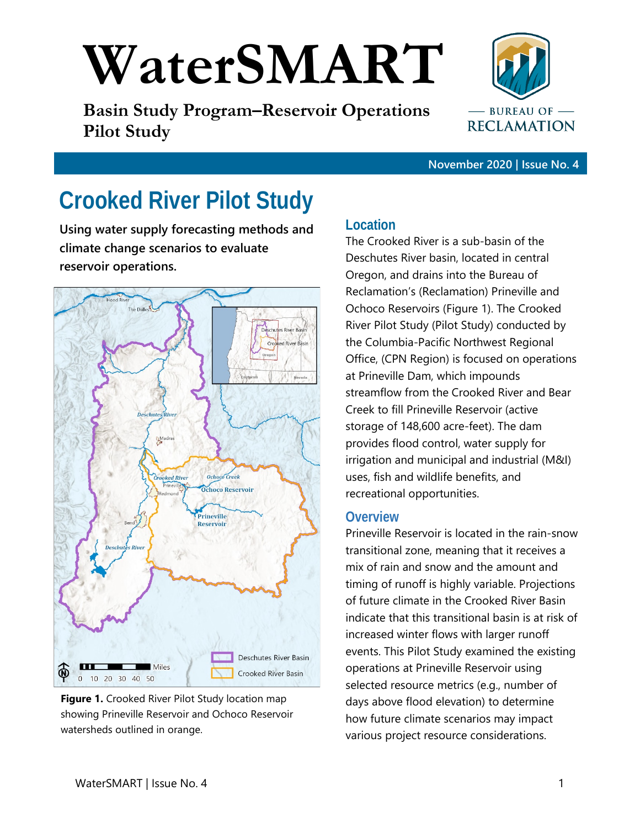# **WaterSMART**

**Basin Study Program–Reservoir Operations Pilot Study**



**November 2020 | Issue No. 4**

# **Crooked River Pilot Study**

**Using water supply forecasting methods and climate change scenarios to evaluate reservoir operations.** 



**Figure 1.** Crooked River Pilot Study location map showing Prineville Reservoir and Ochoco Reservoir watersheds outlined in orange.

## **Location**

The Crooked River is a sub-basin of the Deschutes River basin, located in central Oregon, and drains into the Bureau of Reclamation's (Reclamation) Prineville and Ochoco Reservoirs (Figure 1). The Crooked River Pilot Study (Pilot Study) conducted by the Columbia-Pacific Northwest Regional Office, (CPN Region) is focused on operations at Prineville Dam, which impounds streamflow from the Crooked River and Bear Creek to fill Prineville Reservoir (active storage of 148,600 acre-feet). The dam provides flood control, water supply for irrigation and municipal and industrial (M&I) uses, fish and wildlife benefits, and recreational opportunities.

## **Overview**

Prineville Reservoir is located in the rain-snow transitional zone, meaning that it receives a mix of rain and snow and the amount and timing of runoff is highly variable. Projections of future climate in the Crooked River Basin indicate that this transitional basin is at risk of increased winter flows with larger runoff events. This Pilot Study examined the existing operations at Prineville Reservoir using selected resource metrics (e.g., number of days above flood elevation) to determine how future climate scenarios may impact various project resource considerations.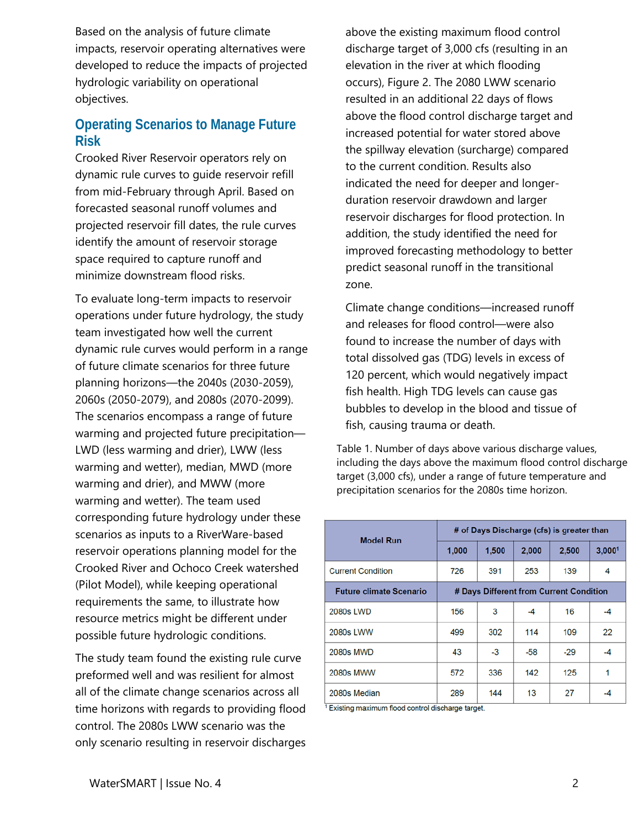Based on the analysis of future climate impacts, reservoir operating alternatives were developed to reduce the impacts of projected hydrologic variability on operational objectives.

# **Operating Scenarios to Manage Future Risk**

Crooked River Reservoir operators rely on dynamic rule curves to guide reservoir refill from mid-February through April. Based on forecasted seasonal runoff volumes and projected reservoir fill dates, the rule curves identify the amount of reservoir storage space required to capture runoff and minimize downstream flood risks.

To evaluate long-term impacts to reservoir operations under future hydrology, the study team investigated how well the current dynamic rule curves would perform in a range of future climate scenarios for three future planning horizons—the 2040s (2030-2059), 2060s (2050-2079), and 2080s (2070-2099). The scenarios encompass a range of future warming and projected future precipitation— LWD (less warming and drier), LWW (less warming and wetter), median, MWD (more warming and drier), and MWW (more warming and wetter). The team used corresponding future hydrology under these scenarios as inputs to a RiverWare-based reservoir operations planning model for the Crooked River and Ochoco Creek watershed (Pilot Model), while keeping operational requirements the same, to illustrate how resource metrics might be different under possible future hydrologic conditions.

The study team found the existing rule curve preformed well and was resilient for almost all of the climate change scenarios across all time horizons with regards to providing flood control. The 2080s LWW scenario was the only scenario resulting in reservoir discharges above the existing maximum flood control discharge target of 3,000 cfs (resulting in an elevation in the river at which flooding occurs), Figure 2. The 2080 LWW scenario resulted in an additional 22 days of flows above the flood control discharge target and increased potential for water stored above the spillway elevation (surcharge) compared to the current condition. Results also indicated the need for deeper and longerduration reservoir drawdown and larger reservoir discharges for flood protection. In addition, the study identified the need for improved forecasting methodology to better predict seasonal runoff in the transitional zone.

Climate change conditions—increased runoff and releases for flood control—were also found to increase the number of days with total dissolved gas (TDG) levels in excess of 120 percent, which would negatively impact fish health. High TDG levels can cause gas bubbles to develop in the blood and tissue of fish, causing trauma or death.

Table 1. Number of days above various discharge values, including the days above the maximum flood control discharge target (3,000 cfs), under a range of future temperature and precipitation scenarios for the 2080s time horizon.

| <b>Model Run</b>               | # of Days Discharge (cfs) is greater than |       |       |       |                    |
|--------------------------------|-------------------------------------------|-------|-------|-------|--------------------|
|                                | 1,000                                     | 1,500 | 2,000 | 2,500 | 3,000 <sup>1</sup> |
| <b>Current Condition</b>       | 726                                       | 391   | 253   | 139   | 4                  |
| <b>Future climate Scenario</b> | # Days Different from Current Condition   |       |       |       |                    |
| 2080s LWD                      | 156                                       | 3     | -4    | 16    | -4                 |
| 2080s LWW                      | 499                                       | 302   | 114   | 109   | 22                 |
| 2080s MWD                      | 43                                        | $-3$  | $-58$ | $-29$ | $-4$               |
| <b>2080s MWW</b>               | 572                                       | 336   | 142   | 125   | 1                  |
| 2080s Median                   | 289                                       | 144   | 13    | 27    |                    |

<sup>1</sup> Existing maximum flood control discharge target.